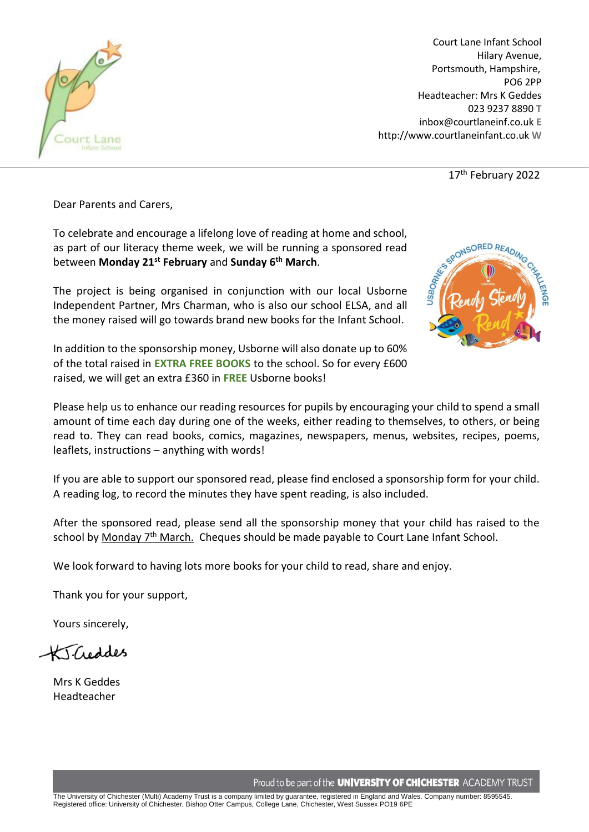

Court Lane Infant School Hilary Avenue, Portsmouth, Hampshire, PO6 2PP Headteacher: Mrs K Geddes 023 9237 8890 **T** inbox@courtlaneinf.co.uk **E** http://www.courtlaneinfant.co.uk **W**

17<sup>th</sup> February 2022

Dear Parents and Carers,

To celebrate and encourage a lifelong love of reading at home and school, as part of our literacy theme week, we will be running a sponsored read between **Monday 21st February** and **Sunday 6th March**.

The project is being organised in conjunction with our local Usborne Independent Partner, Mrs Charman, who is also our school ELSA, and all the money raised will go towards brand new books for the Infant School.



In addition to the sponsorship money, Usborne will also donate up to 60% of the total raised in **EXTRA FREE BOOKS** to the school. So for every £600 raised, we will get an extra £360 in **FREE** Usborne books!

Please help us to enhance our reading resources for pupils by encouraging your child to spend a small amount of time each day during one of the weeks, either reading to themselves, to others, or being read to. They can read books, comics, magazines, newspapers, menus, websites, recipes, poems, leaflets, instructions – anything with words!

If you are able to support our sponsored read, please find enclosed a sponsorship form for your child. A reading log, to record the minutes they have spent reading, is also included.

After the sponsored read, please send all the sponsorship money that your child has raised to the school by Monday  $7<sup>th</sup>$  March. Cheques should be made payable to Court Lane Infant School.

We look forward to having lots more books for your child to read, share and enjoy.

Thank you for your support,

Yours sincerely,

KT-Creddes

Mrs K Geddes Headteacher

Proud to be part of the **UNIVERSITY OF CHICHESTER** ACADEMY TRUST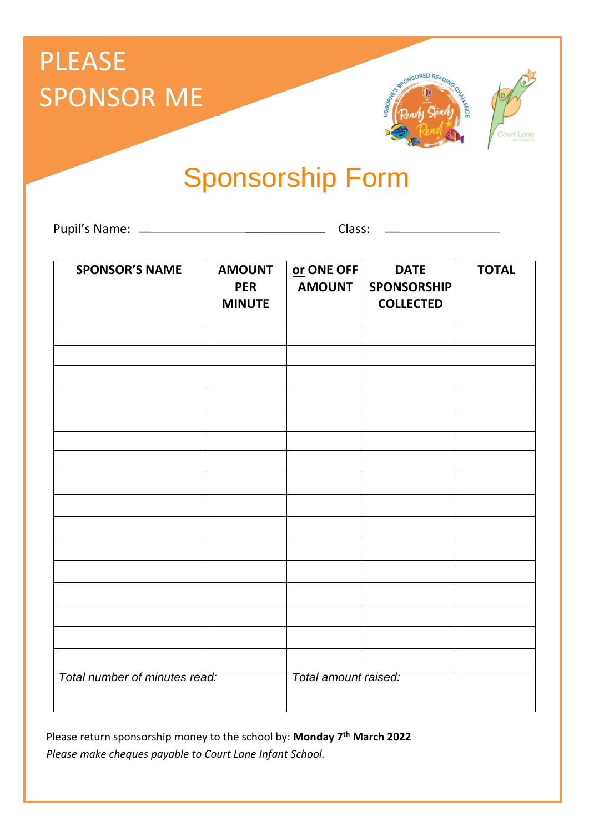## PLEASE SPONSOR ME





Sponsorship Form

Pupil's Name: Class:

| <b>SPONSOR'S NAME</b>         | <b>AMOUNT</b><br><b>PER</b><br><b>MINUTE</b> | or ONE OFF<br><b>AMOUNT</b> | <b>DATE</b><br><b>SPONSORSHIP</b><br><b>COLLECTED</b> | <b>TOTAL</b> |
|-------------------------------|----------------------------------------------|-----------------------------|-------------------------------------------------------|--------------|
|                               |                                              |                             |                                                       |              |
|                               |                                              |                             |                                                       |              |
|                               |                                              |                             |                                                       |              |
|                               |                                              |                             |                                                       |              |
|                               |                                              |                             |                                                       |              |
|                               |                                              |                             |                                                       |              |
|                               |                                              |                             |                                                       |              |
|                               |                                              |                             |                                                       |              |
|                               |                                              |                             |                                                       |              |
|                               |                                              |                             |                                                       |              |
|                               |                                              |                             |                                                       |              |
|                               |                                              |                             |                                                       |              |
|                               |                                              |                             |                                                       |              |
|                               |                                              |                             |                                                       |              |
|                               |                                              |                             |                                                       |              |
|                               |                                              |                             |                                                       |              |
| Total number of minutes read: |                                              | Total amount raised:        |                                                       |              |

Please return sponsorship money to the school by: **Monday 7th March 2022** *Please make cheques payable to Court Lane Infant School.*